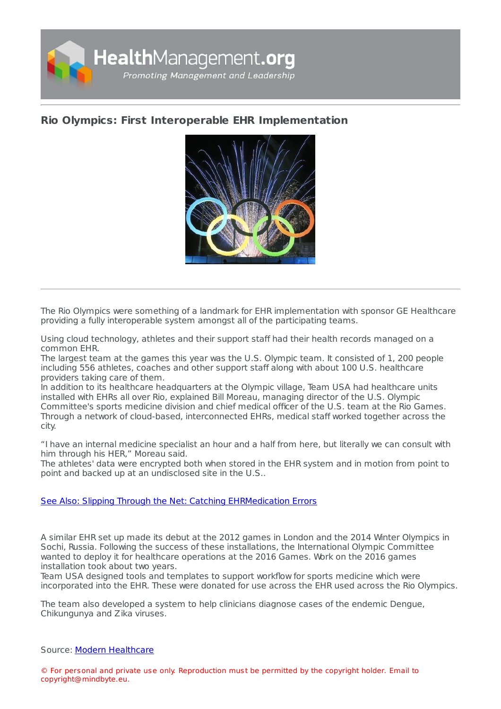

## **Rio Olympics: First Interoperable EHR [Implementation](https://healthmanagement.org/s/rio-olympics-first-interoperable-ehr-implementation)**



The Rio Olympics were something of a landmark for EHR implementation with sponsor GE Healthcare providing a fully interoperable system amongst all of the participating teams.

Using cloud technology, athletes and their support staff had their health records managed on a common EHR.

The largest team at the games this year was the U.S. Olympic team. It consisted of 1, 200 people including 556 athletes, coaches and other support staff along with about 100 U.S. healthcare providers taking care of them.

In addition to its healthcare headquarters at the Olympic village, Team USA had healthcare units installed with EHRs all over Rio, explained Bill Moreau, managing director of the U.S. Olympic Committee's sports medicine division and chief medical officer of the U.S. team at the Rio Games. Through a network of cloud-based, interconnected EHRs, medical staff worked together across the city.

"I have an internal medicine specialist an hour and a half from here, but literally we can consult with him through his HER," Moreau said.

The athletes' data were encrypted both when stored in the EHR system and in motion from point to point and backed up at an undisclosed site in the U.S..

## See Also: Slipping Through the Net: Catching [EHRMedication](https://healthmanagement.org/c/it/news/slipping-through-the-net-catching-ehr-medication-errors) Errors

A similar EHR set up made its debut at the 2012 games in London and the 2014 Winter Olympics in Sochi, Russia. Following the success of these installations, the International Olympic Committee wanted to deploy it for healthcare operations at the 2016 Games. Work on the 2016 games installation took about two years.

Team USA designed tools and templates to support workflow for sports medicine which were incorporated into the EHR. These were donated for use across the EHR used across the Rio Olympics.

The team also developed a system to help clinicians diagnose cases of the endemic Dengue, Chikungunya and Zika viruses.

## Source: Modern [Healthcare](file:///usr/home/healtg/.tmp/  http://www.modernhealthcare.com/)

© For personal and private use only. Reproduction must be permitted by the copyright holder. Email to copyright@mindbyte.eu.